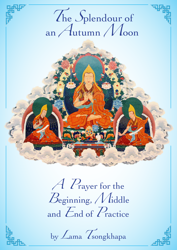# The Splendour of an  $A$ utumn  $M$ oon

A Prayer for the Beginning, Middle and  $E_{nd}$  of  $P_{\text{ractive}}$ 

by Lama *Tsongkhapa*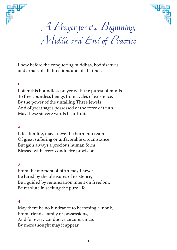



*A Prayer for the Beginning, Middle and End of Practice*

I bow before the conquering buddhas, bodhisattvas and arhats of all directions and of all times.

# **1**

I offer this boundless prayer with the purest of minds To free countless beings from cycles of existence. By the power of the unfailing Three Jewels And of great sages possessed of the force of truth, May these sincere words bear fruit.

## **2**

Life after life, may I never be born into realms Of great suffering or unfavorable circumstance But gain always a precious human form Blessed with every conducive provision.

# **3**

From the moment of birth may I never Be lured by the pleasures of existence, But, guided by renunciation intent on freedom, Be resolute in seeking the pure life.

## **4**

May there be no hindrance to becoming a monk, From friends, family or possessions, And for every conducive circumstance, By mere thought may it appear.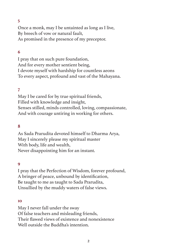Once a monk, may I be untainted as long as I live, By breech of vow or natural fault, As promised in the presence of my preceptor.

# **6**

I pray that on such pure foundation, And for every mother sentient being, I devote myself with hardship for countless aeons To every aspect, profound and vast of the Mahayana.

## **7**

May I be cared for by true spiritual friends, Filled with knowledge and insight, Senses stilled, minds controlled, loving, compassionate, And with courage untiring in working for others.

## **8**

As Sada Prarudita devoted himself to Dharma Arya, May I sincerely please my spiritual master With body, life and wealth, Never disappointing him for an instant.

#### **9**

I pray that the Perfection of Wisdom, forever profound, A bringer of peace, unbound by identification, Be taught to me as taught to Sada Prarudita, Unsullied by the muddy waters of false views.

#### **10**

May I never fall under the sway Of false teachers and misleading friends, Their flawed views of existence and nonexistence Well outside the Buddha's intention.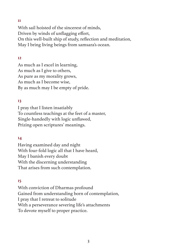With sail hoisted of the sincerest of minds, Driven by winds of unflagging effort, On this well-built ship of study, reflection and meditation, May I bring living beings from samsara's ocean.

# **12**

As much as I excel in learning, As much as I give to others, As pure as my morality grows, As much as I become wise, By as much may I be empty of pride.

# **13**

I pray that I listen insatiably To countless teachings at the feet of a master, Single-handedly with logic unflawed, Prizing open scriptures' meanings.

# **14**

Having examined day and night With four-fold logic all that I have heard, May I banish every doubt With the discerning understanding That arises from such contemplation.

## **15**

With conviction of Dharmas profound Gained from understanding born of contemplation, I pray that I retreat to solitude With a perseverance severing life's attachments To devote myself to proper practice.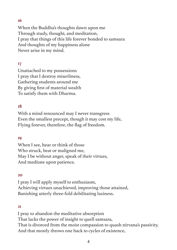When the Buddha's thoughts dawn upon me Through study, thought, and meditation, I pray that things of this life forever bonded to samsara And thoughts of my happiness alone Never arise in my mind.

# **17**

Unattached to my possessions I pray that I destroy miserliness, Gathering students around me By giving first of material wealth To satisfy them with Dharma.

# **18**

With a mind renounced may I never transgress Even the smallest precept, though it may cost my life, Flying forever, therefore, the flag of freedom.

## **19**

When I see, hear or think of those Who struck, beat or maligned me, May I be without anger, speak of their virtues, And meditate upon patience.

## **20**

I pray I will apply myself to enthusiasm, Achieving virtues unachieved, improving those attained, Banishing utterly three-fold debilitating laziness.

## **21**

I pray to abandon the meditative absorption That lacks the power of insight to quell samsara, That is divorced from the moist compassion to quash nirvana's passivity, And that mostly throws one back to cycles of existence,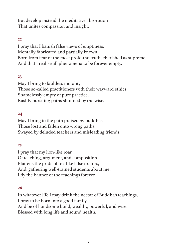But develop instead the meditative absorption That unites compassion and insight.

## **22**

I pray that I banish false views of emptiness, Mentally fabricated and partially known, Born from fear of the most profound truth, cherished as supreme, And that I realise all phenomena to be forever empty.

## **23**

May I bring to faultless morality Those so-called practitioners with their wayward ethics, Shamelessly empty of pure practice, Rashly pursuing paths shunned by the wise.

## **24**

May I bring to the path praised by buddhas Those lost and fallen onto wrong paths, Swayed by deluded teachers and misleading friends.

# **25**

I pray that my lion-like roar Of teaching, argument, and composition Flattens the pride of fox-like false orators, And, gathering well-trained students about me, I fly the banner of the teachings forever.

## **26**

In whatever life I may drink the nectar of Buddha's teachings, I pray to be born into a good family And be of handsome build, wealthy, powerful, and wise, Blessed with long life and sound health.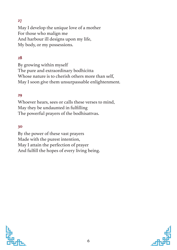May I develop the unique love of a mother For those who malign me And harbour ill designs upon my life, My body, or my possessions.

# **28**

By growing within myself The pure and extraordinary bodhicitta Whose nature is to cherish others more than self, May I soon give them unsurpassable enlightenment.

# **29**

Whoever hears, sees or calls these verses to mind, May they be undaunted in fulfilling The powerful prayers of the bodhisattvas.

## **30**

By the power of these vast prayers Made with the purest intention, May I attain the perfection of prayer And fulfill the hopes of every living being.